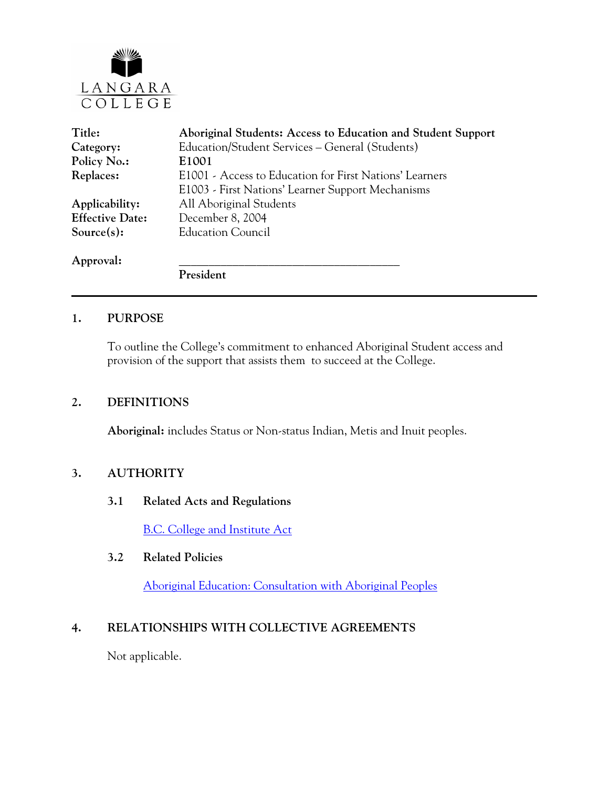

| Title:                 | Aboriginal Students: Access to Education and Student Support |
|------------------------|--------------------------------------------------------------|
| Category:              | Education/Student Services – General (Students)              |
| Policy No.:            | E1001                                                        |
| Replaces:              | E1001 - Access to Education for First Nations' Learners      |
|                        | E1003 - First Nations' Learner Support Mechanisms            |
| Applicability:         | All Aboriginal Students                                      |
| <b>Effective Date:</b> | December 8, 2004                                             |
| Source $(s)$ :         | <b>Education Council</b>                                     |
| Approval:              |                                                              |
|                        | President                                                    |

### **1. PURPOSE**

To outline the College's commitment to enhanced Aboriginal Student access and provision of the support that assists them to succeed at the College.

### **2. DEFINITIONS**

**Aboriginal:** includes Status or Non-status Indian, Metis and Inuit peoples.

# **3. AUTHORITY**

### **3.1 Related Acts and Regulations**

[B.C. College and Institute Act](http://www.qp.gov.bc.ca/statreg/stat/C/96052_01.htm)

### **3.2 Related Policies**

Aboriginal Education: Consultation with Aboriginal Peoples

### **4. RELATIONSHIPS WITH COLLECTIVE AGREEMENTS**

Not applicable.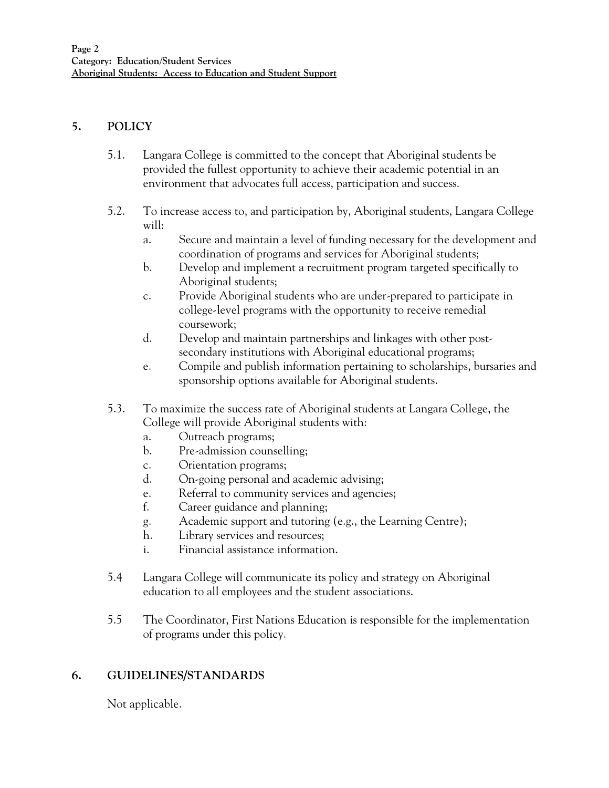### **5. POLICY**

- 5.1. Langara College is committed to the concept that Aboriginal students be provided the fullest opportunity to achieve their academic potential in an environment that advocates full access, participation and success.
- 5.2. To increase access to, and participation by, Aboriginal students, Langara College will:
	- a. Secure and maintain a level of funding necessary for the development and coordination of programs and services for Aboriginal students;
	- b. Develop and implement a recruitment program targeted specifically to Aboriginal students;
	- c. Provide Aboriginal students who are under-prepared to participate in college-level programs with the opportunity to receive remedial coursework;
	- d. Develop and maintain partnerships and linkages with other postsecondary institutions with Aboriginal educational programs;
	- e. Compile and publish information pertaining to scholarships, bursaries and sponsorship options available for Aboriginal students.
- 5.3. To maximize the success rate of Aboriginal students at Langara College, the College will provide Aboriginal students with:
	- a. Outreach programs;
	- b. Pre-admission counselling;
	- c. Orientation programs;
	- d. On-going personal and academic advising;
	- e. Referral to community services and agencies;
	- f. Career guidance and planning;
	- g. Academic support and tutoring (e.g., the Learning Centre);
	- h. Library services and resources;
	- i. Financial assistance information.
- 5.4 Langara College will communicate its policy and strategy on Aboriginal education to all employees and the student associations.
- 5.5 The Coordinator, First Nations Education is responsible for the implementation of programs under this policy.

# **6. GUIDELINES/STANDARDS**

Not applicable.